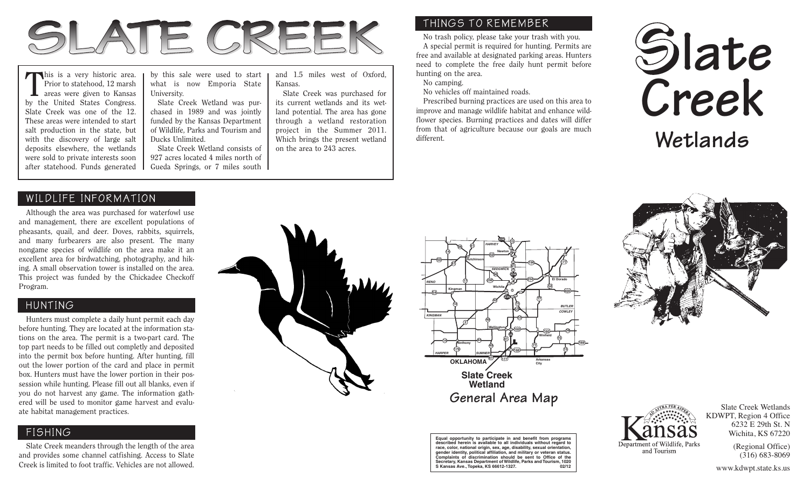

This is a very historic area.<br>Prior to statehood, 12 marsh areas were given to Kansas by the United States Congress. Slate Creek was one of the 12. These areas were intended to start salt production in the state, but with the discovery of large salt deposits elsewhere, the wetlands were sold to private interests soon after statehood. Funds generated

by this sale were used to start what is now Emporia State University.

Slate Creek Wetland was purchased in 1989 and was jointly funded by the Kansas Department of Wildlife, Parks and Tourism and Ducks Unlimited.

Slate Creek Wetland consists of 927 acres located 4 miles north of Gueda Springs, or 7 miles south and 1.5 miles west of Oxford, Kansas.

Slate Creek was purchased for its current wetlands and its wetland potential. The area has gone through a wetland restoration project in the Summer 2011. Which brings the present wetland on the area to 243 acres.

# THINGS TO REMEMBER

No trash policy, please take your trash with you. A special permit is required for hunting. Permits are free and available at designated parking areas. Hunters need to complete the free daily hunt permit before hunting on the area.

No camping.

No vehicles off maintained roads.

Prescribed burning practices are used on this area to improve and manage wildlife habitat and enhance wildflower species. Burning practices and dates will differ from that of agriculture because our goals are much different.





Department of Wildlife, Parks and Tourism

Slate Creek Wetlands KDWPT, Region 4 Office 6232 E 29th St. N Wichita, KS 67220

> (Regional Office) (316) 683-8069

www.kdwpt.state.ks.us

# WILDLIFE INFORMATION

Although the area was purchased for waterfowl use and management, there are excellent populations of pheasants, quail, and deer. Doves, rabbits, squirrels, and many furbearers are also present. The many nongame species of wildlife on the area make it an excellent area for birdwatching, photography, and hiking. A small observation tower is installed on the area. This project was funded by the Chickadee Checkoff Program.

### HUNTING

Hunters must complete a daily hunt permit each day before hunting. They are located at the information stations on the area. The permit is a two-part card. The top part needs to be filled out completly and deposited into the permit box before hunting. After hunting, fill out the lower portion of the card and place in permit box. Hunters must have the lower portion in their possession while hunting. Please fill out all blanks, even if you do not harvest any game. The information gathered will be used to monitor game harvest and evaluate habitat management practices.

#### FISHING

Slate Creek meanders through the length of the area and provides some channel catfishing. Access to Slate Creek is limited to foot traffic. Vehicles are not allowed.





**Equal opportunity to participate in and benefit from programs described herein is available to all individuals without regard to** race, color, national origin, sex, age, disability, sexual orien **gender identity, political affiliation, and military or veteran status. Complaints of discrimination should be sent to Office of the Secretary, Kansas Department of Wildlife, Parks and Tourism, 1020 S Kansas Ave., Topeka, KS 66612-1327. 02/12**